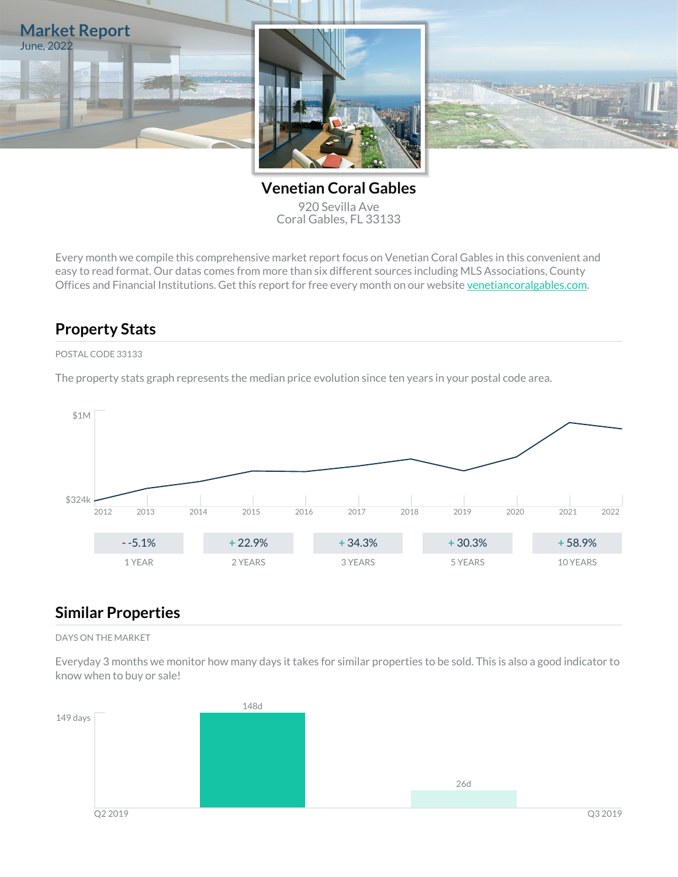

**Venetian Coral Gables** 920 Sevilla Ave Coral Gables, FL 33133

Every month we compile this comprehensive market report focus on Venetian Coral Gables in this convenient and easy to read format. Our datas comes from more than six different sources including MLS Associations, County Offices and Financial Institutions. Get this report for free every month on our website [venetiancoralgables.com](https://venetiancoralgables.com).

## **Property Stats**

### POSTAL CODE 33133

The property stats graph represents the median price evolution since ten years in your postal code area.



### **Similar Properties**

#### DAYS ON THE MARKET

Everyday 3 months we monitor how many days it takes for similar properties to be sold. This is also a good indicator to know when to buy or sale!

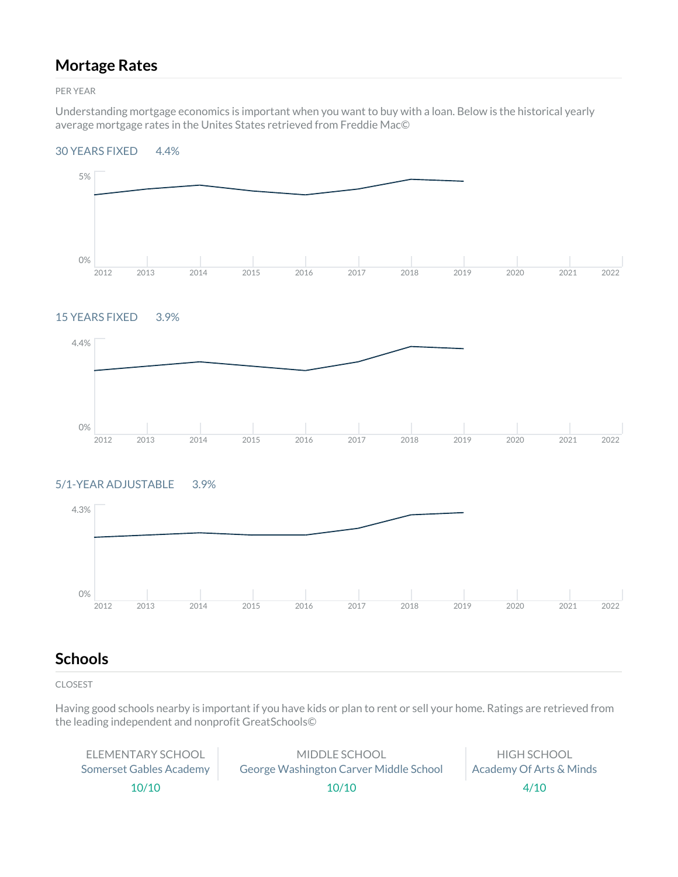## **Mortage Rates**

PER YEAR

Understanding mortgage economics is important when you want to buy with a loan. Below is the historical yearly average mortgage rates in the Unites States retrieved from Freddie Mac©

#### 30 YEARS FIXED 4.4%



### 15 YEARS FIXED 3.9%



### 5/1-YEAR ADJUSTABLE 3.9%



## **Schools**

CLOSEST

Having good schools nearby is important if you have kids or plan to rent or sell your home. Ratings are retrieved from the leading independent and nonprofit GreatSchools©

| FLFMENTARY SCHOOL       | MIDDLE SCHOOL                          | HIGH SCHOOL             |
|-------------------------|----------------------------------------|-------------------------|
| Somerset Gables Academy | George Washington Carver Middle School | Academy Of Arts & Minds |
| 10/10                   | 10/10                                  | 4/10                    |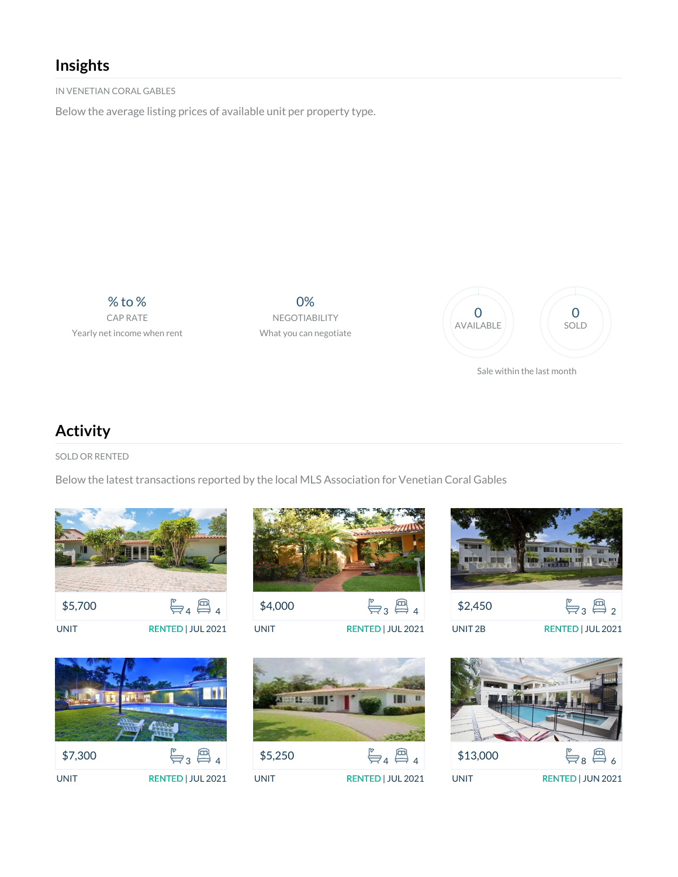# **Insights**

IN VENETIAN CORAL GABLES

Below the average listing prices of available unit per property type.

% to % CAP RATE Yearly net income when rent

0% NEGOTIABILITY What you can negotiate



# **Activity**

SOLD OR RENTED

Below the latest transactions reported by the local MLS Association for Venetian Coral Gables





\$4,000  $\mathbb{F}_{3} \boxplus_{4}$ UNIT RENTED | JUL 2021



\$5,250  $\mathbb{F}_{4} \boxplus_{4}$ UNIT RENTED | JUL 2021





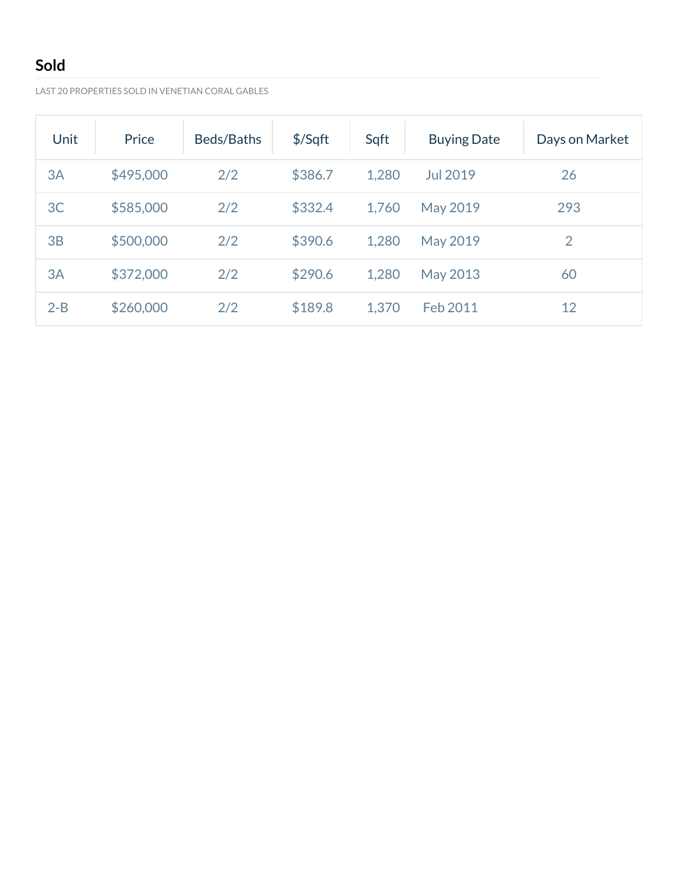# **Sold**

LAST 20 PROPERTIES SOLD IN VENETIAN CORAL GABLES

| Unit    | Price     | Beds/Baths | $$$ /Sqft | Sqft  | <b>Buying Date</b> | Days on Market |
|---------|-----------|------------|-----------|-------|--------------------|----------------|
| 3A      | \$495,000 | 2/2        | \$386.7   | 1,280 | Jul 2019           | 26             |
| 3C      | \$585,000 | 2/2        | \$332.4   | 1,760 | May 2019           | 293            |
| 3B      | \$500,000 | 2/2        | \$390.6   | 1,280 | May 2019           | $\overline{2}$ |
| 3A      | \$372,000 | 2/2        | \$290.6   | 1,280 | May 2013           | 60             |
| $2 - B$ | \$260,000 | 2/2        | \$189.8   | 1,370 | Feb 2011           | 12             |